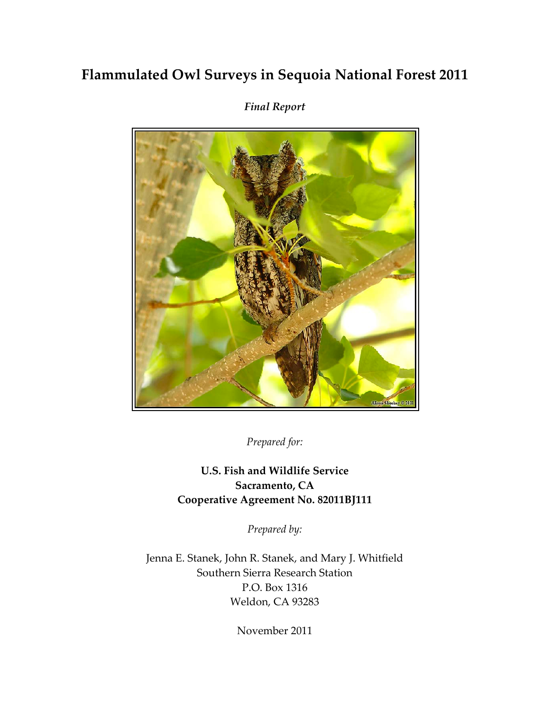# **Flammulated Owl Surveys in Sequoia National Forest 2011**

## *Final Report*



*Prepared for:*

**U.S. Fish and Wildlife Service Sacramento, CA Cooperative Agreement No. 82011BJ111**

*Prepared by:*

Jenna E. Stanek, John R. Stanek, and Mary J. Whitfield Southern Sierra Research Station P.O. Box 1316 Weldon, CA 93283

November 2011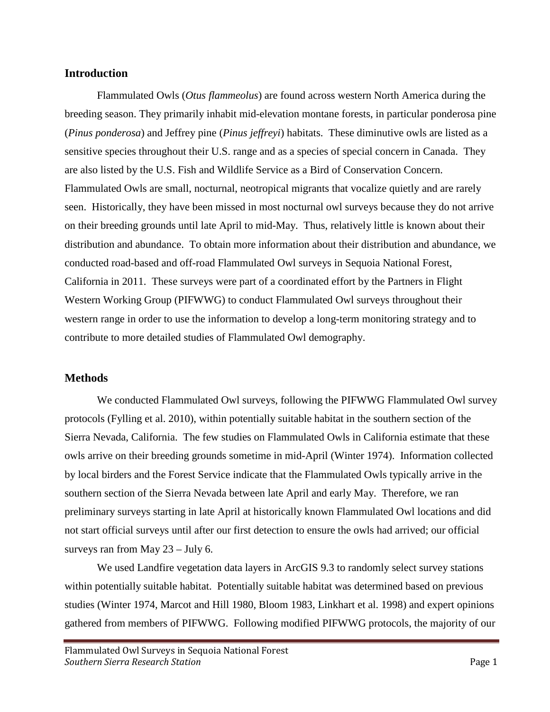#### **Introduction**

Flammulated Owls (*Otus flammeolus*) are found across western North America during the breeding season. They primarily inhabit mid-elevation montane forests, in particular ponderosa pine (*Pinus ponderosa*) and Jeffrey pine (*Pinus jeffreyi*) habitats. These diminutive owls are listed as a sensitive species throughout their U.S. range and as a species of special concern in Canada. They are also listed by the U.S. Fish and Wildlife Service as a Bird of Conservation Concern. Flammulated Owls are small, nocturnal, neotropical migrants that vocalize quietly and are rarely seen. Historically, they have been missed in most nocturnal owl surveys because they do not arrive on their breeding grounds until late April to mid-May. Thus, relatively little is known about their distribution and abundance. To obtain more information about their distribution and abundance, we conducted road-based and off-road Flammulated Owl surveys in Sequoia National Forest, California in 2011. These surveys were part of a coordinated effort by the Partners in Flight Western Working Group (PIFWWG) to conduct Flammulated Owl surveys throughout their western range in order to use the information to develop a long-term monitoring strategy and to contribute to more detailed studies of Flammulated Owl demography.

#### **Methods**

We conducted Flammulated Owl surveys, following the PIFWWG Flammulated Owl survey protocols (Fylling et al. 2010), within potentially suitable habitat in the southern section of the Sierra Nevada, California. The few studies on Flammulated Owls in California estimate that these owls arrive on their breeding grounds sometime in mid-April (Winter 1974). Information collected by local birders and the Forest Service indicate that the Flammulated Owls typically arrive in the southern section of the Sierra Nevada between late April and early May. Therefore, we ran preliminary surveys starting in late April at historically known Flammulated Owl locations and did not start official surveys until after our first detection to ensure the owls had arrived; our official surveys ran from May 23 – July 6.

We used Landfire vegetation data layers in ArcGIS 9.3 to randomly select survey stations within potentially suitable habitat. Potentially suitable habitat was determined based on previous studies (Winter 1974, Marcot and Hill 1980, Bloom 1983, Linkhart et al. 1998) and expert opinions gathered from members of PIFWWG. Following modified PIFWWG protocols, the majority of our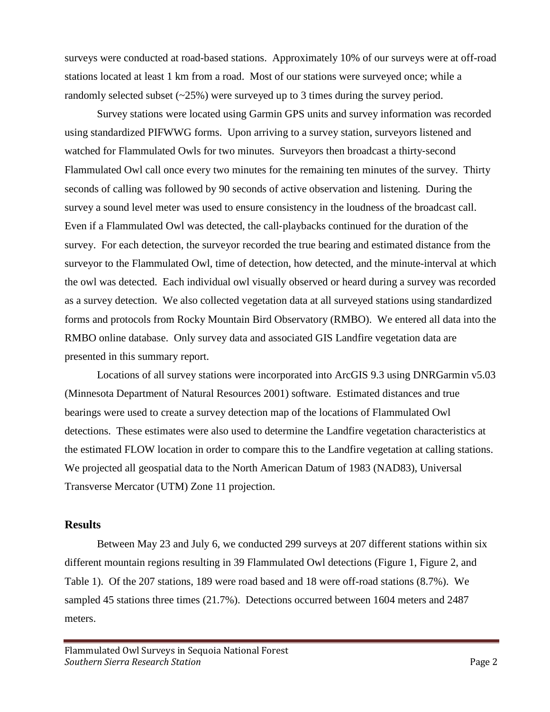surveys were conducted at road-based stations. Approximately 10% of our surveys were at off-road stations located at least 1 km from a road. Most of our stations were surveyed once; while a randomly selected subset  $(\sim 25\%)$  were surveyed up to 3 times during the survey period.

Survey stations were located using Garmin GPS units and survey information was recorded using standardized PIFWWG forms. Upon arriving to a survey station, surveyors listened and watched for Flammulated Owls for two minutes. Surveyors then broadcast a thirty-second Flammulated Owl call once every two minutes for the remaining ten minutes of the survey. Thirty seconds of calling was followed by 90 seconds of active observation and listening. During the survey a sound level meter was used to ensure consistency in the loudness of the broadcast call. Even if a Flammulated Owl was detected, the call‐playbacks continued for the duration of the survey. For each detection, the surveyor recorded the true bearing and estimated distance from the surveyor to the Flammulated Owl, time of detection, how detected, and the minute-interval at which the owl was detected. Each individual owl visually observed or heard during a survey was recorded as a survey detection. We also collected vegetation data at all surveyed stations using standardized forms and protocols from Rocky Mountain Bird Observatory (RMBO). We entered all data into the RMBO online database. Only survey data and associated GIS Landfire vegetation data are presented in this summary report.

Locations of all survey stations were incorporated into ArcGIS 9.3 using DNRGarmin v5.03 (Minnesota Department of Natural Resources 2001) software. Estimated distances and true bearings were used to create a survey detection map of the locations of Flammulated Owl detections. These estimates were also used to determine the Landfire vegetation characteristics at the estimated FLOW location in order to compare this to the Landfire vegetation at calling stations. We projected all geospatial data to the North American Datum of 1983 (NAD83), Universal Transverse Mercator (UTM) Zone 11 projection.

#### **Results**

Between May 23 and July 6, we conducted 299 surveys at 207 different stations within six different mountain regions resulting in 39 Flammulated Owl detections (Figure 1, Figure 2, and Table 1). Of the 207 stations, 189 were road based and 18 were off-road stations (8.7%). We sampled 45 stations three times (21.7%). Detections occurred between 1604 meters and 2487 meters.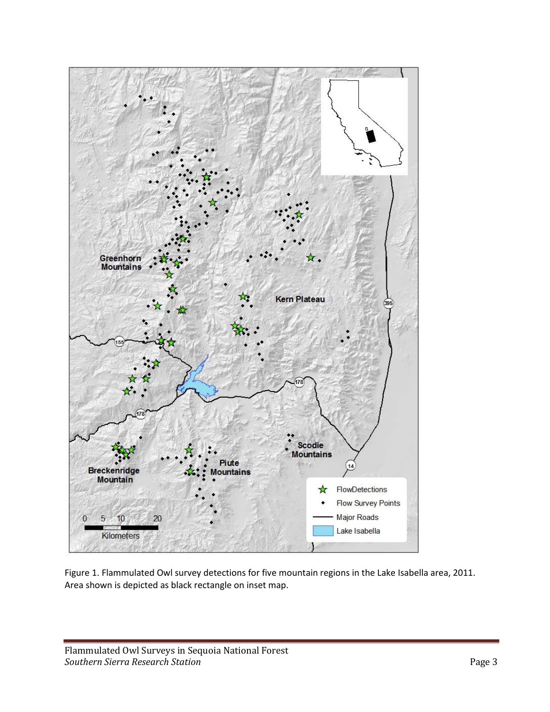

Figure 1. Flammulated Owl survey detections for five mountain regions in the Lake Isabella area, 2011. Area shown is depicted as black rectangle on inset map.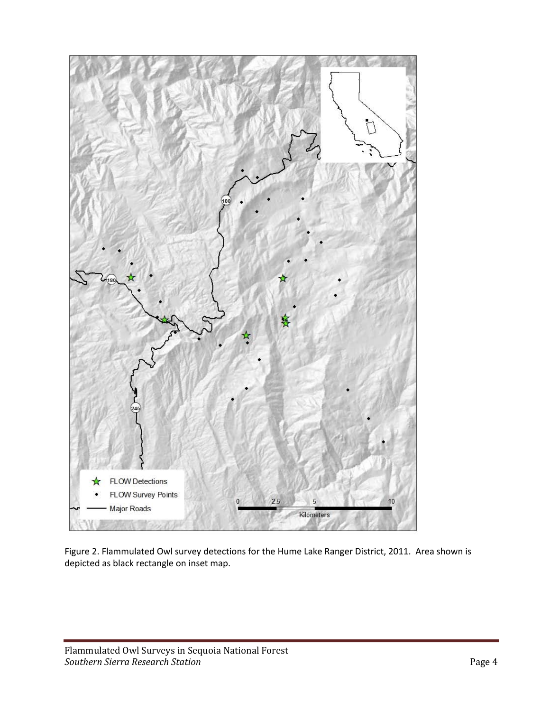

Figure 2. Flammulated Owl survey detections for the Hume Lake Ranger District, 2011. Area shown is depicted as black rectangle on inset map.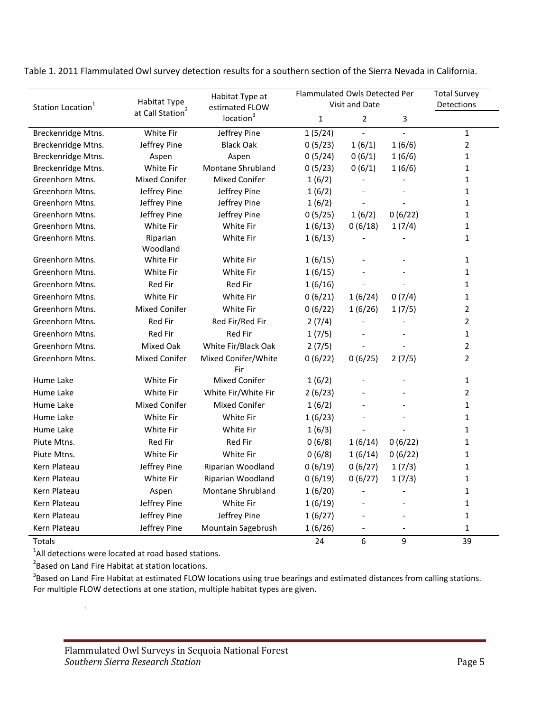|                               | Habitat Type                 | Habitat Type at                         | Flammulated Owls Detected Per<br>Visit and Date |                |                | <b>Total Survey</b><br>Detections |
|-------------------------------|------------------------------|-----------------------------------------|-------------------------------------------------|----------------|----------------|-----------------------------------|
| Station Location <sup>1</sup> | at Call Station <sup>2</sup> | estimated FLOW<br>location <sup>3</sup> | $\mathbf{1}$                                    | $\overline{2}$ | 3              |                                   |
| Breckenridge Mtns.            | White Fir                    | Jeffrey Pine                            | 1(5/24)                                         |                |                | $\mathbf{1}$                      |
| Breckenridge Mtns.            | Jeffrey Pine                 | <b>Black Oak</b>                        | 0(5/23)                                         | 1(6/1)         | 1(6/6)         | $\overline{2}$                    |
| Breckenridge Mtns.            | Aspen                        | Aspen                                   | 0(5/24)                                         | 0(6/1)         | 1(6/6)         | $\mathbf{1}$                      |
| Breckenridge Mtns.            | <b>White Fir</b>             | <b>Montane Shrubland</b>                | 0(5/23)                                         | 0(6/1)         | 1(6/6)         | $\mathbf{1}$                      |
| Greenhorn Mtns.               | <b>Mixed Conifer</b>         | <b>Mixed Conifer</b>                    | 1(6/2)                                          |                |                | 1                                 |
| Greenhorn Mtns.               | Jeffrey Pine                 | Jeffrey Pine                            | 1(6/2)                                          |                |                | $\mathbf{1}$                      |
| Greenhorn Mtns.               | Jeffrey Pine                 | Jeffrey Pine                            | 1(6/2)                                          |                |                | 1                                 |
| Greenhorn Mtns.               | Jeffrey Pine                 | Jeffrey Pine                            | 0(5/25)                                         | 1(6/2)         | 0(6/22)        | $\mathbf 1$                       |
| Greenhorn Mtns.               | White Fir                    | White Fir                               | 1(6/13)                                         | 0(6/18)        | 1(7/4)         | $\mathbf{1}$                      |
| Greenhorn Mtns.               | Riparian                     | White Fir                               | 1(6/13)                                         |                |                | $\mathbf{1}$                      |
|                               | Woodland                     |                                         |                                                 |                |                |                                   |
| Greenhorn Mtns.               | White Fir                    | White Fir                               | 1(6/15)                                         |                |                | 1                                 |
| Greenhorn Mtns.               | White Fir                    | White Fir                               | 1(6/15)                                         |                |                | 1                                 |
| Greenhorn Mtns.               | <b>Red Fir</b>               | <b>Red Fir</b>                          | 1(6/16)                                         |                |                | $\mathbf{1}$                      |
| Greenhorn Mtns.               | White Fir                    | White Fir                               | 0(6/21)                                         | 1(6/24)        | 0(7/4)         | 1                                 |
| Greenhorn Mtns.               | <b>Mixed Conifer</b>         | <b>White Fir</b>                        | 0(6/22)                                         | 1(6/26)        | 1(7/5)         | 2                                 |
| Greenhorn Mtns.               | <b>Red Fir</b>               | Red Fir/Red Fir                         | 2(7/4)                                          | $\overline{a}$ | $\overline{a}$ | 2                                 |
| Greenhorn Mtns.               | <b>Red Fir</b>               | Red Fir                                 | 1(7/5)                                          | $\overline{a}$ |                | $\mathbf{1}$                      |
| Greenhorn Mtns.               | Mixed Oak                    | White Fir/Black Oak                     | 2(7/5)                                          |                |                | 2                                 |
| Greenhorn Mtns.               | <b>Mixed Conifer</b>         | Mixed Conifer/White<br>Fir              | 0(6/22)                                         | 0(6/25)        | 2(7/5)         | $\overline{2}$                    |
| Hume Lake                     | <b>White Fir</b>             | <b>Mixed Conifer</b>                    | 1(6/2)                                          |                |                | $\mathbf{1}$                      |
| Hume Lake                     | White Fir                    | White Fir/White Fir                     | 2(6/23)                                         |                |                | $\overline{2}$                    |
| Hume Lake                     | <b>Mixed Conifer</b>         | <b>Mixed Conifer</b>                    | 1(6/2)                                          | $\overline{a}$ |                | $\mathbf{1}$                      |
| Hume Lake                     | White Fir                    | White Fir                               | 1(6/23)                                         |                |                | $\mathbf{1}$                      |
| Hume Lake                     | <b>White Fir</b>             | White Fir                               | 1(6/3)                                          |                |                | $\mathbf{1}$                      |
| Piute Mtns.                   | Red Fir                      | Red Fir                                 | 0(6/8)                                          | 1(6/14)        | 0(6/22)        | $\mathbf{1}$                      |
| Piute Mtns.                   | White Fir                    | White Fir                               | 0(6/8)                                          | 1(6/14)        | 0(6/22)        | $\mathbf{1}$                      |
| Kern Plateau                  | Jeffrey Pine                 | Riparian Woodland                       | 0(6/19)                                         | 0(6/27)        | 1(7/3)         | $\mathbf{1}$                      |
| Kern Plateau                  | White Fir                    | Riparian Woodland                       | 0(6/19)                                         | 0(6/27)        | 1(7/3)         | $\mathbf{1}$                      |
| Kern Plateau                  | Aspen                        | <b>Montane Shrubland</b>                | 1(6/20)                                         |                |                | $\mathbf{1}$                      |
| Kern Plateau                  | Jeffrey Pine                 | White Fir                               | 1(6/19)                                         |                |                | $\mathbf{1}$                      |
| Kern Plateau                  | Jeffrey Pine                 | Jeffrey Pine                            | 1(6/27)                                         |                |                | $\mathbf{1}$                      |
| Kern Plateau                  | Jeffrey Pine                 | Mountain Sagebrush                      | 1(6/26)                                         | $\blacksquare$ | $\overline{a}$ | $\mathbf{1}$                      |
| Totals                        |                              |                                         | 24                                              | 6              | 9              | 39                                |

Table 1. 2011 Flammulated Owl survey detection results for a southern section of the Sierra Nevada in California.

 $<sup>1</sup>$ All detections were located at road based stations.</sup>

 $2$ Based on Land Fire Habitat at station locations.

39

 $3$ Based on Land Fire Habitat at estimated FLOW locations using true bearings and estimated distances from calling stations. For multiple FLOW detections at one station, multiple habitat types are given.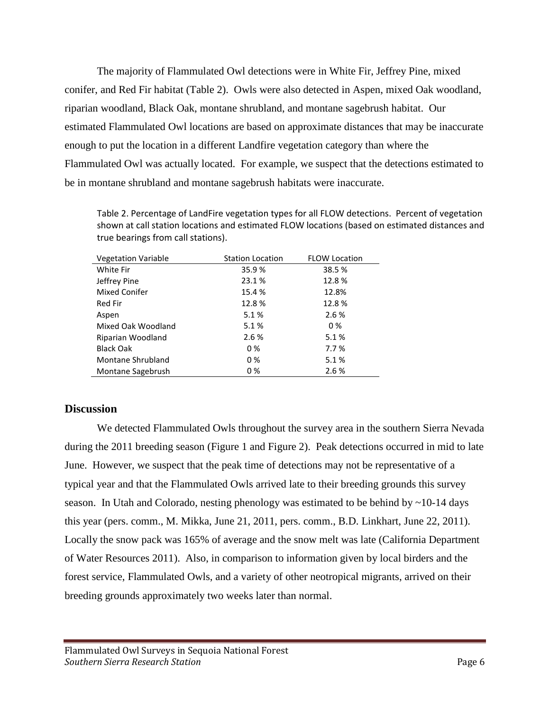The majority of Flammulated Owl detections were in White Fir, Jeffrey Pine, mixed conifer, and Red Fir habitat (Table 2). Owls were also detected in Aspen, mixed Oak woodland, riparian woodland, Black Oak, montane shrubland, and montane sagebrush habitat. Our estimated Flammulated Owl locations are based on approximate distances that may be inaccurate enough to put the location in a different Landfire vegetation category than where the Flammulated Owl was actually located. For example, we suspect that the detections estimated to be in montane shrubland and montane sagebrush habitats were inaccurate.

Table 2. Percentage of LandFire vegetation types for all FLOW detections. Percent of vegetation shown at call station locations and estimated FLOW locations (based on estimated distances and true bearings from call stations).

| <b>Vegetation Variable</b> | <b>Station Location</b> | <b>FLOW Location</b> |  |
|----------------------------|-------------------------|----------------------|--|
| White Fir                  | 35.9%                   | 38.5%                |  |
| Jeffrey Pine               | 23.1%                   | 12.8%                |  |
| <b>Mixed Conifer</b>       | 15.4 %                  | 12.8%                |  |
| <b>Red Fir</b>             | 12.8%                   | 12.8%                |  |
| Aspen                      | 5.1%                    | 2.6 %                |  |
| Mixed Oak Woodland         | 5.1%                    | 0%                   |  |
| Riparian Woodland          | 2.6%                    | 5.1%                 |  |
| <b>Black Oak</b>           | 0%                      | 7.7%                 |  |
| Montane Shrubland          | 0%                      | 5.1%                 |  |
| Montane Sagebrush          | 0%                      | 2.6 %                |  |

#### **Discussion**

We detected Flammulated Owls throughout the survey area in the southern Sierra Nevada during the 2011 breeding season (Figure 1 and Figure 2). Peak detections occurred in mid to late June. However, we suspect that the peak time of detections may not be representative of a typical year and that the Flammulated Owls arrived late to their breeding grounds this survey season. In Utah and Colorado, nesting phenology was estimated to be behind by ~10-14 days this year (pers. comm., M. Mikka, June 21, 2011, pers. comm., B.D. Linkhart, June 22, 2011). Locally the snow pack was 165% of average and the snow melt was late (California Department of Water Resources 2011). Also, in comparison to information given by local birders and the forest service, Flammulated Owls, and a variety of other neotropical migrants, arrived on their breeding grounds approximately two weeks later than normal.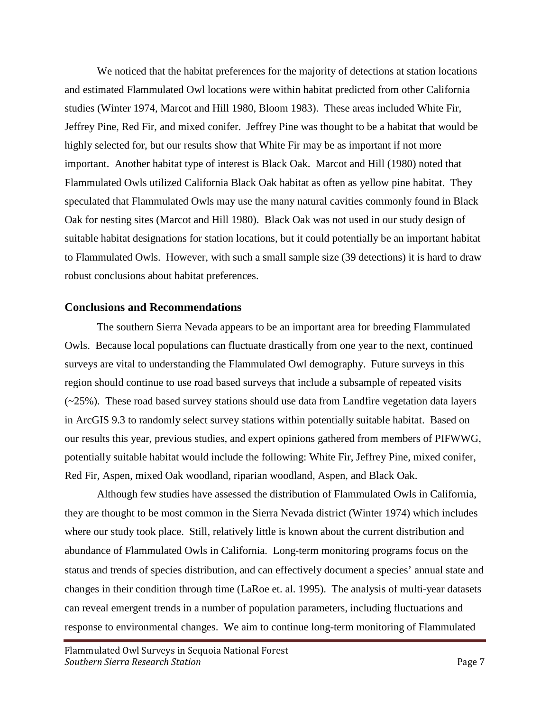We noticed that the habitat preferences for the majority of detections at station locations and estimated Flammulated Owl locations were within habitat predicted from other California studies (Winter 1974, Marcot and Hill 1980, Bloom 1983). These areas included White Fir, Jeffrey Pine, Red Fir, and mixed conifer. Jeffrey Pine was thought to be a habitat that would be highly selected for, but our results show that White Fir may be as important if not more important. Another habitat type of interest is Black Oak. Marcot and Hill (1980) noted that Flammulated Owls utilized California Black Oak habitat as often as yellow pine habitat. They speculated that Flammulated Owls may use the many natural cavities commonly found in Black Oak for nesting sites (Marcot and Hill 1980). Black Oak was not used in our study design of suitable habitat designations for station locations, but it could potentially be an important habitat to Flammulated Owls. However, with such a small sample size (39 detections) it is hard to draw robust conclusions about habitat preferences.

#### **Conclusions and Recommendations**

The southern Sierra Nevada appears to be an important area for breeding Flammulated Owls. Because local populations can fluctuate drastically from one year to the next, continued surveys are vital to understanding the Flammulated Owl demography. Future surveys in this region should continue to use road based surveys that include a subsample of repeated visits (~25%). These road based survey stations should use data from Landfire vegetation data layers in ArcGIS 9.3 to randomly select survey stations within potentially suitable habitat. Based on our results this year, previous studies, and expert opinions gathered from members of PIFWWG, potentially suitable habitat would include the following: White Fir, Jeffrey Pine, mixed conifer, Red Fir, Aspen, mixed Oak woodland, riparian woodland, Aspen, and Black Oak.

Although few studies have assessed the distribution of Flammulated Owls in California, they are thought to be most common in the Sierra Nevada district (Winter 1974) which includes where our study took place. Still, relatively little is known about the current distribution and abundance of Flammulated Owls in California. Long-term monitoring programs focus on the status and trends of species distribution, and can effectively document a species' annual state and changes in their condition through time (LaRoe et. al. 1995). The analysis of multi-year datasets can reveal emergent trends in a number of population parameters, including fluctuations and response to environmental changes. We aim to continue long-term monitoring of Flammulated